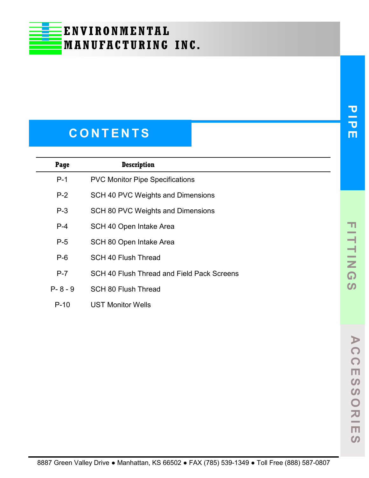## **C O N T E N T S**

| Page        | <b>Description</b>                         |
|-------------|--------------------------------------------|
| $P-1$       | <b>PVC Monitor Pipe Specifications</b>     |
| $P-2$       | SCH 40 PVC Weights and Dimensions          |
| $P-3$       | SCH 80 PVC Weights and Dimensions          |
| $P-4$       | SCH 40 Open Intake Area                    |
| $P-5$       | SCH 80 Open Intake Area                    |
| $P-6$       | <b>SCH 40 Flush Thread</b>                 |
| $P-7$       | SCH 40 Flush Thread and Field Pack Screens |
| $P - 8 - 9$ | <b>SCH 80 Flush Thread</b>                 |
| $P-10$      | <b>UST Monitor Wells</b>                   |

**PIPE**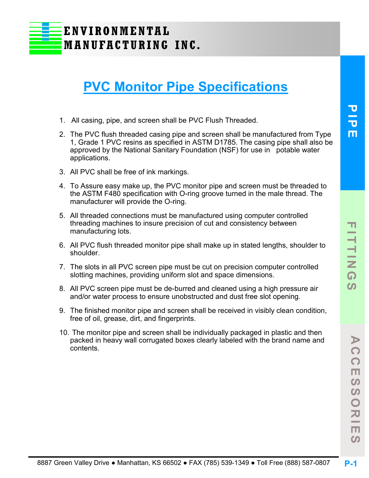## **PVC Monitor Pipe Specifications**

- 1. All casing, pipe, and screen shall be PVC Flush Threaded.
- 2. The PVC flush threaded casing pipe and screen shall be manufactured from Type 1, Grade 1 PVC resins as specified in ASTM D1785. The casing pipe shall also be approved by the National Sanitary Foundation (NSF) for use in potable water applications.
- 3. All PVC shall be free of ink markings.
- 4. To Assure easy make up, the PVC monitor pipe and screen must be threaded to the ASTM F480 specification with O-ring groove turned in the male thread. The manufacturer will provide the O-ring.
- 5. All threaded connections must be manufactured using computer controlled threading machines to insure precision of cut and consistency between manufacturing lots.
- 6. All PVC flush threaded monitor pipe shall make up in stated lengths, shoulder to shoulder.
- 7. The slots in all PVC screen pipe must be cut on precision computer controlled slotting machines, providing uniform slot and space dimensions.
- 8. All PVC screen pipe must be de-burred and cleaned using a high pressure air and/or water process to ensure unobstructed and dust free slot opening.
- 9. The finished monitor pipe and screen shall be received in visibly clean condition, free of oil, grease, dirt, and fingerprints.
- 10. The monitor pipe and screen shall be individually packaged in plastic and then packed in heavy wall corrugated boxes clearly labeled with the brand name and contents.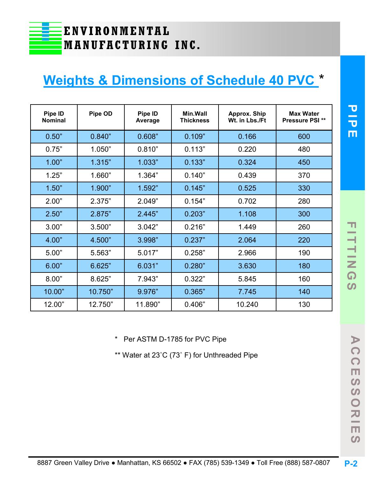## **Weights & Dimensions of Schedule 40 PVC** \*

| Pipe ID<br>Nominal | Pipe OD | Pipe ID<br><b>Average</b> | Min.Wall<br><b>Thickness</b> | <b>Approx. Ship</b><br>Wt. in Lbs./Ft | <b>Max Water</b><br><b>Pressure PSI**</b> |
|--------------------|---------|---------------------------|------------------------------|---------------------------------------|-------------------------------------------|
| 0.50"              | 0.840"  | 0.608"                    | 0.109"                       | 0.166                                 | 600                                       |
| 0.75"              | 1.050"  | 0.810"                    | 0.113"                       | 0.220                                 | 480                                       |
| 1.00"              | 1.315"  | 1.033"                    | 0.133"                       | 0.324                                 | 450                                       |
| 1.25"              | 1.660"  | 1.364"                    | 0.140"                       | 0.439                                 | 370                                       |
| 1.50"              | 1.900"  | 1.592"                    | 0.145"                       | 0.525                                 | 330                                       |
| 2.00"              | 2.375"  | 2.049"                    | 0.154"                       | 0.702                                 | 280                                       |
| 2.50"              | 2.875"  | 2.445"                    | 0.203"                       | 1.108                                 | 300                                       |
| 3.00"              | 3.500"  | 3.042"                    | 0.216"                       | 1.449                                 | 260                                       |
| 4.00"              | 4.500"  | 3.998"                    | 0.237"                       | 2.064                                 | 220                                       |
| 5.00"              | 5.563"  | 5.017"                    | 0.258"                       | 2.966                                 | 190                                       |
| 6.00"              | 6.625"  | 6.031"                    | 0.280"                       | 3.630                                 | 180                                       |
| 8.00"              | 8.625"  | 7.943"                    | 0.322"                       | 5.845                                 | 160                                       |
| 10.00"             | 10.750" | 9.976"                    | 0.365"                       | 7.745                                 | 140                                       |
| 12.00"             | 12.750" | 11.890"                   | 0.406"                       | 10.240                                | 130                                       |

\* Per ASTM D-1785 for PVC Pipe

\*\* Water at 23˚C (73˚ F) for Unthreaded Pipe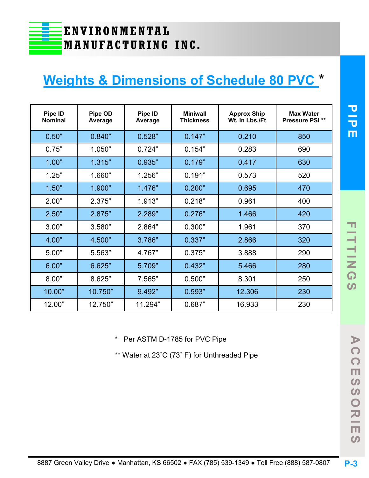## **Weights & Dimensions of Schedule 80 PVC** \*

| Pipe ID<br><b>Nominal</b> | <b>Pipe OD</b><br><b>Average</b> | Pipe ID<br><b>Average</b> | <b>Miniwall</b><br><b>Thickness</b> | <b>Approx Ship</b><br>Wt. in Lbs./Ft | <b>Max Water</b><br>Pressure PSI** |
|---------------------------|----------------------------------|---------------------------|-------------------------------------|--------------------------------------|------------------------------------|
| 0.50"                     | 0.840"                           | 0.528"                    | 0.147"                              | 0.210                                | 850                                |
| 0.75"                     | 1.050"                           | 0.724"                    | 0.154"                              | 0.283                                | 690                                |
| 1.00"                     | 1.315"                           | 0.935"                    | 0.179"                              | 0.417                                | 630                                |
| 1.25"                     | 1.660"                           | 1.256"                    | 0.191"                              | 0.573                                | 520                                |
| 1.50"                     | 1.900"                           | 1.476"                    | 0.200"                              | 0.695                                | 470                                |
| 2.00"                     | 2.375"                           | 1.913"                    | 0.218"                              | 0.961                                | 400                                |
| 2.50"                     | 2.875"                           | 2.289"                    | 0.276"                              | 1.466                                | 420                                |
| 3.00"                     | 3.580"                           | 2.864"                    | 0.300"                              | 1.961                                | 370                                |
| 4.00"                     | 4.500"                           | 3.786"                    | 0.337"                              | 2.866                                | 320                                |
| 5.00"                     | 5.563"                           | 4.767"                    | 0.375"                              | 3.888                                | 290                                |
| 6.00"                     | 6.625"                           | 5.709"                    | 0.432"                              | 5.466                                | 280                                |
| 8.00"                     | 8.625"                           | 7.565"                    | 0.500"                              | 8.301                                | 250                                |
| 10.00"                    | 10.750"                          | 9.492"                    | 0.593"                              | 12.306                               | 230                                |
| 12.00"                    | 12.750"                          | 11.294"                   | 0.687"                              | 16.933                               | 230                                |

\* Per ASTM D-1785 for PVC Pipe

\*\* Water at 23˚C (73˚ F) for Unthreaded Pipe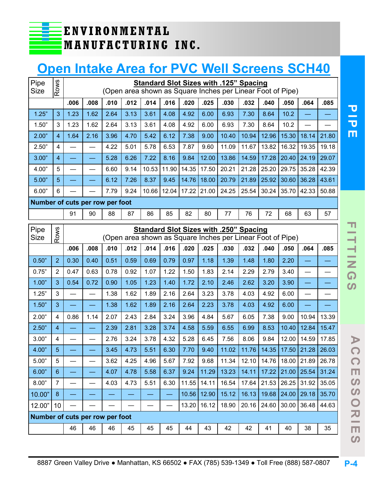## **Open Intake Area for PVC Well Screens SCH40**

| Pipe<br><b>Size</b>             | Rows           |      | Standard Slot Sizes with .125" Spacing<br>(Open area shown as Square Inches per Linear Foot of Pipe) |      |      |       |       |       |       |                                                                                               |       |       |       |                         |       |
|---------------------------------|----------------|------|------------------------------------------------------------------------------------------------------|------|------|-------|-------|-------|-------|-----------------------------------------------------------------------------------------------|-------|-------|-------|-------------------------|-------|
|                                 |                | .006 | .008                                                                                                 | .010 | .012 | .014  | .016  | .020  | .025  | .030                                                                                          | .032  | .040  | .050  | .064                    | .085  |
| 1.25"                           | 3              | 1.23 | 1.62                                                                                                 | 2.64 | 3.13 | 3.61  | 4.08  | 4.92  | 6.00  | 6.93                                                                                          | 7.30  | 8.64  | 10.2  |                         |       |
| 1.50"                           | 3              | 1.23 | 1.62                                                                                                 | 2.64 | 3.13 | 3.61  | 4.08  | 4.92  | 6.00  | 6.93                                                                                          | 7.30  | 8.64  | 10.2  |                         |       |
| 2.00"                           | 4              | 1.64 | 2.16                                                                                                 | 3.96 | 4.70 | 5.42  | 6.12  | 7.38  | 9.00  | 10.40                                                                                         | 10.94 | 12.96 | 15.30 | 18.14                   | 21.80 |
| 2.50"                           | 4              |      |                                                                                                      | 4.22 | 5.01 | 5.78  | 6.53  | 7.87  | 9.60  | 11.09                                                                                         | 11.67 | 13.82 | 16.32 | 19.35                   | 19.18 |
| 3.00"                           | 4              |      |                                                                                                      | 5.28 | 6.26 | 7.22  | 8.16  | 9.84  | 12.00 | 13.86                                                                                         | 14.59 | 17.28 | 20.40 | 24.19                   | 29.07 |
| 4.00"                           | 5              |      | $\sim$                                                                                               | 6.60 | 9.14 | 10.53 | 11.90 | 14.35 | 17.50 | 20.21                                                                                         | 21.28 | 25.20 | 29.75 | 35.28                   | 42.39 |
| 5.00"                           | 5              |      |                                                                                                      | 6.12 | 7.26 | 8.37  | 9.45  | 14.76 | 18.00 | 20.79                                                                                         | 21.89 | 25.92 | 30.60 | 36.28                   | 43.61 |
| 6.00"                           | 6              |      |                                                                                                      | 7.79 | 9.24 | 10.66 | 12.04 | 17.22 | 21.00 | 24.25                                                                                         | 25.54 | 30.24 | 35.70 | 42.33                   | 50.88 |
| Number of cuts per row per foot |                |      |                                                                                                      |      |      |       |       |       |       |                                                                                               |       |       |       |                         |       |
|                                 |                | 91   | 90                                                                                                   | 88   | 87   | 86    | 85    | 82    | 80    | 77                                                                                            | 76    | 72    | 68    | 63                      | 57    |
| Pipe                            |                |      |                                                                                                      |      |      |       |       |       |       | <b>Standard Slot Sizes with .250" Spacing</b>                                                 |       |       |       |                         |       |
| <b>Size</b>                     | Rows           |      |                                                                                                      |      |      |       |       |       |       | (Open area shown as Square Inches per Linear Foot of Pipe)                                    |       |       |       |                         |       |
|                                 |                | .006 | .008                                                                                                 | .010 | .012 | .014  | .016  | .020  | .025  | .030                                                                                          | .032  | .040  | .050  | .064                    | .085  |
| 0.50"                           | $\overline{2}$ | 0.30 | 0.40                                                                                                 | 0.51 | 0.59 | 0.69  | 0.79  | 0.97  | 1.18  | 1.39                                                                                          | 1.48  | 1.80  | 2.20  |                         |       |
| 0.75"                           | $\overline{2}$ | 0.47 | 0.63                                                                                                 | 0.78 | 0.92 | 1.07  | 1.22  | 1.50  | 1.83  | 2.14                                                                                          | 2.29  | 2.79  | 3.40  |                         |       |
| 1.00"                           | 3              | 0.54 | 0.72                                                                                                 | 0.90 | 1.05 | 1.23  | 1.40  | 1.72  | 2.10  | 2.46                                                                                          | 2.62  | 3.20  | 3.90  |                         |       |
| 1.25"                           | 3              |      |                                                                                                      | 1.38 | 1.62 | 1.89  | 2.16  | 2.64  | 3.23  | 3.78                                                                                          | 4.03  | 4.92  | 6.00  |                         |       |
| 1.50"                           | 3              |      |                                                                                                      | 1.38 | 1.62 | 1.89  | 2.16  | 2.64  | 2.23  | 3.78                                                                                          | 4.03  | 4.92  | 6.00  |                         |       |
| 2.00"                           | $\overline{4}$ | 0.86 | 1.14                                                                                                 | 2.07 | 2.43 | 2.84  | 3.24  | 3.96  | 4.84  | 5.67                                                                                          | 6.05  | 7.38  | 9.00  | 10.94                   | 13.39 |
| 2.50"                           | $\overline{4}$ |      |                                                                                                      | 2.39 | 2.81 | 3.28  | 3.74  | 4.58  | 5.59  | 6.55                                                                                          | 6.99  | 8.53  | 10.40 | 12.84                   | 15.47 |
| 3.00"                           | $\overline{4}$ |      |                                                                                                      | 2.76 | 3.24 | 3.78  | 4.32  | 5.28  | 6.45  | 7.56                                                                                          | 8.06  | 9.84  | 12.00 | 14.59                   | 17.85 |
| 4.00"                           | $\overline{5}$ |      |                                                                                                      | 3.45 | 4.73 | 5.51  | 6.30  | 7.70  | 9.40  | 11.02                                                                                         |       |       |       | 11.76 14.35 17.50 21.28 | 26.03 |
| 5.00"                           | 5              |      |                                                                                                      | 3.62 | 4.25 | 4.96  | 5.67  | 7.92  | 9.68  | 11.34                                                                                         | 12.10 | 14.76 | 18.00 | 21.89                   | 26.78 |
| 6.00"                           | $6\phantom{1}$ |      |                                                                                                      | 4.07 | 4.78 | 5.58  | 6.37  | 9.24  | 11.29 | 13.23                                                                                         | 14.11 | 17.22 | 21.00 | 25.54                   | 31.24 |
| 8.00"                           | $\overline{7}$ |      |                                                                                                      | 4.03 | 4.73 | 5.51  | 6.30  | 11.55 | 14.11 | 16.54                                                                                         | 17.64 | 21.53 | 26.25 | 31.92                   | 35.05 |
| 10.00"                          | 8              |      |                                                                                                      |      |      |       |       | 10.56 | 12.90 | 15.12                                                                                         | 16.13 | 19.68 | 24.00 | 29.18                   | 35.70 |
| 12.00"                          | 10             |      |                                                                                                      |      |      |       |       | 13.20 | 16.12 | 18.90                                                                                         | 20.16 | 24.60 | 30.00 | 36.48                   | 44.63 |
| Number of cuts per row per foot |                |      |                                                                                                      |      |      |       |       |       |       |                                                                                               |       |       |       |                         |       |
|                                 |                | 46   | 46                                                                                                   | 46   | 45   | 45    | 45    | 44    | 43    | 42                                                                                            | 42    | 41    | 40    | 38                      | 35    |
|                                 |                |      |                                                                                                      |      |      |       |       |       |       | 8887 Green Valley Drive • Manhattan, KS 66502 • FAX (785) 539-1349 • Toll Free (888) 587-0807 |       |       |       |                         |       |

 $\Omega$ 

**P-4**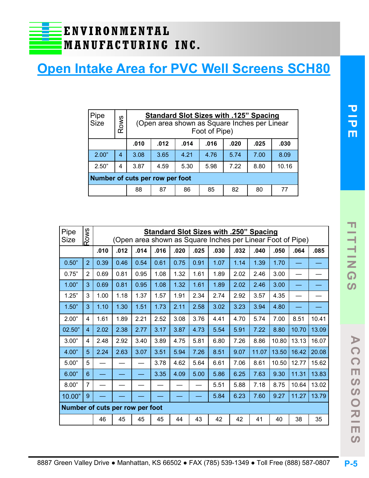## **Open Intake Area for PVC Well Screens SCH80**

| Pipe<br>Size                                         | Rows                            |      | <b>Standard Slot Sizes with .125" Spacing</b><br>(Open area shown as Square Inches per Linear<br>Foot of Pipe) |                            |      |      |      |      |  |  |
|------------------------------------------------------|---------------------------------|------|----------------------------------------------------------------------------------------------------------------|----------------------------|------|------|------|------|--|--|
| .012<br>.010<br>.014<br>.016<br>.020<br>.025<br>.030 |                                 |      |                                                                                                                |                            |      |      |      |      |  |  |
| 2.00"                                                | 4                               | 3.08 | 3.65                                                                                                           | 4.21                       | 4.76 | 5.74 | 7.00 | 8.09 |  |  |
| 2.50"                                                | 4                               | 3.87 | 10.16<br>4.59<br>7.22<br>8.80<br>5.30<br>5.98                                                                  |                            |      |      |      |      |  |  |
|                                                      | Number of cuts per row per foot |      |                                                                                                                |                            |      |      |      |      |  |  |
|                                                      |                                 | 88   | 87                                                                                                             | 86<br>85<br>82<br>80<br>77 |      |      |      |      |  |  |

| Pipe<br><b>Size</b>             | Rows           |      | <b>Standard Slot Sizes with .250" Spacing</b><br>(Open area shown as Square Inches per Linear Foot of Pipe) |      |      |      |      |      |      |       |       |       |       |
|---------------------------------|----------------|------|-------------------------------------------------------------------------------------------------------------|------|------|------|------|------|------|-------|-------|-------|-------|
|                                 |                | .010 | .012                                                                                                        | .014 | .016 | .020 | .025 | .030 | .032 | .040  | .050  | .064  | .085  |
| 0.50"                           | $\overline{2}$ | 0.39 | 0.46                                                                                                        | 0.54 | 0.61 | 0.75 | 0.91 | 1.07 | 1.14 | 1.39  | 1.70  |       |       |
| 0.75"                           | 2              | 0.69 | 0.81                                                                                                        | 0.95 | 1.08 | 1.32 | 1.61 | 1.89 | 2.02 | 2.46  | 3.00  |       |       |
| 1.00"                           | 3              | 0.69 | 0.81                                                                                                        | 0.95 | 1.08 | 1.32 | 1.61 | 1.89 | 2.02 | 2.46  | 3.00  |       |       |
| 1.25"                           | 3              | 1.00 | 1.18                                                                                                        | 1.37 | 1.57 | 1.91 | 2.34 | 2.74 | 2.92 | 3.57  | 4.35  |       |       |
| 1.50"                           | 3              | 1.10 | 1.30                                                                                                        | 1.51 | 1.73 | 2.11 | 2.58 | 3.02 | 3.23 | 3.94  | 4.80  |       |       |
| 2.00"                           | 4              | 1.61 | 1.89                                                                                                        | 2.21 | 2.52 | 3.08 | 3.76 | 4.41 | 4.70 | 5.74  | 7.00  | 8.51  | 10.41 |
| 02.50"                          | $\overline{4}$ | 2.02 | 2.38                                                                                                        | 2.77 | 3.17 | 3.87 | 4.73 | 5.54 | 5.91 | 7.22  | 8.80  | 10.70 | 13.09 |
| 3.00"                           | 4              | 2.48 | 2.92                                                                                                        | 3.40 | 3.89 | 4.75 | 5.81 | 6.80 | 7.26 | 8.86  | 10.80 | 13.13 | 16.07 |
| 4.00"                           | 5              | 2.24 | 2.63                                                                                                        | 3.07 | 3.51 | 5.94 | 7.26 | 8.51 | 9.07 | 11.07 | 13.50 | 16.42 | 20.08 |
| 5.00"                           | 5              |      |                                                                                                             |      | 3.78 | 4.62 | 5.64 | 6.61 | 7.06 | 8.61  | 10.50 | 12.77 | 15.62 |
| 6.00"                           | 6              |      |                                                                                                             |      | 3.35 | 4.09 | 5.00 | 5.86 | 6.25 | 7.63  | 9.30  | 11.31 | 13.83 |
| 8.00"                           | $\overline{7}$ |      |                                                                                                             |      |      |      |      | 5.51 | 5.88 | 7.18  | 8.75  | 10.64 | 13.02 |
| 10.00"                          | 9              |      |                                                                                                             |      |      |      |      | 5.84 | 6.23 | 7.60  | 9.27  | 11.27 | 13.79 |
| Number of cuts per row per foot |                |      |                                                                                                             |      |      |      |      |      |      |       |       |       |       |
|                                 |                | 46   | 45                                                                                                          | 45   | 45   | 44   | 43   | 42   | 42   | 41    | 40    | 38    | 35    |

**A C C E S S O R I E S**

 $\Omega$ 

SO<sub>S</sub>

**NH** 

 $\Omega$ 

 $\blacktriangleright$  $\Omega$ 

 $\frac{1}{2}$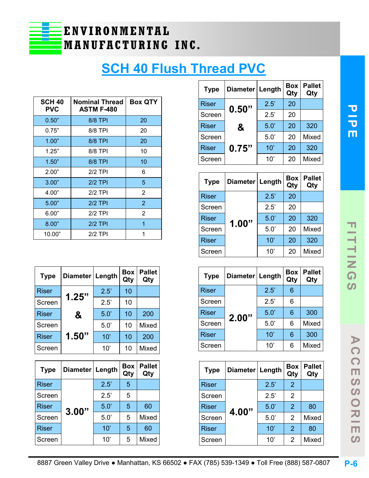

## **SCH 40 Flush Thread PVC**

| <b>SCH 40</b><br><b>PVC</b> | <b>Nominal Thread</b><br><b>ASTM F-480</b> | <b>Box QTY</b> |
|-----------------------------|--------------------------------------------|----------------|
| 0.50"                       | <b>8/8 TPI</b>                             | 20             |
| 0.75"                       | 8/8 TPI                                    | 20             |
| 1.00"                       | 8/8 TPI                                    | 20             |
| 1.25"                       | 8/8 TPI                                    | 10             |
| 1.50"                       | 8/8 TPI                                    | 10             |
| 2.00"                       | $2/2$ TPI                                  | 6              |
| 3.00"                       | $2/2$ TPI                                  | 5              |
| 4.00"                       | $2/2$ TPI                                  | $\overline{2}$ |
| 5.00"                       | $2/2$ TPI                                  | $\overline{2}$ |
| 6.00"                       | $2/2$ TPI                                  | 2              |
| 8.00"                       | $2/2$ TPI                                  | 1              |
| 10.00"                      | $2/2$ TPI                                  |                |

| <b>Type</b>  | Diameter   Length |      | <b>Box</b><br>Qty | <b>Pallet</b><br>Qty |
|--------------|-------------------|------|-------------------|----------------------|
| <b>Riser</b> | 1.25"             | 2.5' | 10                |                      |
| Screen       |                   | 2.5' | 10                |                      |
| <b>Riser</b> | &                 | 5.0' | 10                | 200                  |
| Screen       |                   | 5.0' | 10                | <b>Mixed</b>         |
| <b>Riser</b> | 1.50"             | 10'  | 10                | 200                  |
| Screen       |                   | 10'  | 10                | Mixed                |

| <b>Type</b>  |       | Diameter   Length |   | <b>Pallet</b><br>Qty |
|--------------|-------|-------------------|---|----------------------|
| <b>Riser</b> |       | 2.5'              | 5 |                      |
| Screen       |       | 2.5'              | 5 |                      |
| <b>Riser</b> |       | 5.0               | 5 | 60                   |
| Screen       | 3.00" | 5.0'              | 5 | Mixed                |
| <b>Riser</b> |       | 10'               | 5 | 60                   |
| Screen       |       | 10'               | 5 | Mixed                |

| <b>Type</b>  | Diameter   Length |      | <b>Box</b><br>Qty | <b>Pallet</b><br>Qty |
|--------------|-------------------|------|-------------------|----------------------|
| Riser        | 0.50"             | 2.5' | 20                |                      |
| Screen       |                   | 2.5' | 20                |                      |
| <b>Riser</b> | &                 | 5.0' | 20                | 320                  |
| Screen       |                   | 5.0' | 20                | Mixed                |
| <b>Riser</b> | 0.75"             | 10'  | 20                | 320                  |
| Screen       |                   | 10'  | 20                | Mixed                |

| <b>Type</b>  | Diameter   Length |      | Box<br>Qty | <b>Pallet</b><br>Qty |
|--------------|-------------------|------|------------|----------------------|
| <b>Riser</b> |                   | 2.5' | 20         |                      |
| Screen       |                   | 2.5' | 20         |                      |
| <b>Riser</b> | 1.00"             | 5.0  | 20         | 320                  |
| Screen       |                   | 5.0' | 20         | Mixed                |
| <b>Riser</b> |                   | 10'  | 20         | 320                  |
| Screen       |                   | 10'  | 20         | <b>Mixed</b>         |

| <b>Type</b>  | Diameter   Length |      | <b>Box</b><br>Qty | <b>Pallet</b><br>Qty |
|--------------|-------------------|------|-------------------|----------------------|
| <b>Riser</b> |                   | 2.5' | 6                 |                      |
| Screen       |                   | 2.5' | 6                 |                      |
| <b>Riser</b> |                   | 5.0' | 6                 | 300                  |
| Screen       | 2.00"             | 5.0' | 6                 | Mixed                |
| <b>Riser</b> |                   | 10'  | 6                 | 300                  |
| Screen       |                   | 10'  | 6                 | Mixed                |

| <b>Type</b>  | Diameter Length |      | <b>Box</b><br>Qty | <b>Pallet</b><br>Qty |
|--------------|-----------------|------|-------------------|----------------------|
| <b>Riser</b> |                 | 2.5' | $\overline{2}$    |                      |
| Screen       |                 | 2.5' | 2                 |                      |
| <b>Riser</b> | 4.00"           | 5.0' | 2                 | 80                   |
| Screen       |                 | 5.0' | $\overline{2}$    | Mixed                |
| <b>Riser</b> |                 | 10'  | $\overline{2}$    | 80                   |
| Screen       |                 | 10'  | 2                 | Mixed                |

 $\blacktriangleright$  $\Omega$ 

 $\frac{1}{\Omega}$ 

 $\Omega$  $\overline{S}$  $\bigcirc$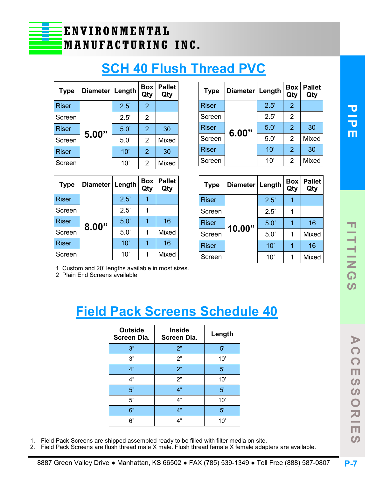## **SCH 40 Flush Thread PVC**

| <b>Type</b>  | Diameter Length |      | Box<br>Qty     | <b>Pallet</b><br>Qty |
|--------------|-----------------|------|----------------|----------------------|
| Riser        |                 | 2.5' | 2              |                      |
| Screen       |                 | 2.5' | 2              |                      |
| <b>Riser</b> | 5.00"           | 5.0' | 2              | 30                   |
| Screen       |                 | 5.0  | $\overline{2}$ | Mixed                |
| <b>Riser</b> |                 | 10'  | 2              | 30                   |
| Screen       |                 | 10'  | $\overline{2}$ | Mixed                |

| <b>Type</b>  | Diameter Length |      | <b>Box</b><br>Qty | <b>Pallet</b><br>Qty |
|--------------|-----------------|------|-------------------|----------------------|
| <b>Riser</b> |                 | 2.5' |                   |                      |
| Screen       | 8.00"           | 2.5' |                   |                      |
| <b>Riser</b> |                 | 5.0  |                   | 16                   |
| Screen       |                 | 5.0' | 1                 | Mixed                |
| <b>Riser</b> |                 | 10'  |                   | 16                   |
| Screen       |                 | 10'  | 1                 | Mixed                |

| <b>Type</b>  | Diameter   Length |      | <b>Box</b><br>Qty | <b>Pallet</b><br>Qty |
|--------------|-------------------|------|-------------------|----------------------|
| <b>Riser</b> |                   | 2.5' | 2                 |                      |
| Screen       |                   | 2.5' | 2                 |                      |
| <b>Riser</b> | 6.00"             | 5.0  | $\mathcal{P}$     | 30                   |
| Screen       |                   | 5.0' | 2                 | <b>Mixed</b>         |
| <b>Riser</b> |                   | 10'  | $\overline{2}$    | 30                   |
| Screen       |                   | 10'  | 2                 | Mixed                |

| <b>Type</b>  | Diameter Length |      | <b>Box</b><br>Qty | <b>Pallet</b><br>Qty |
|--------------|-----------------|------|-------------------|----------------------|
| <b>Riser</b> |                 | 2.5' |                   |                      |
| Screen       |                 | 2.5' | 1                 |                      |
| <b>Riser</b> | 10.00"          | 5.0' | 1                 | 16                   |
| Screen       |                 | 5.0' | 1                 | <b>Mixed</b>         |
| <b>Riser</b> |                 | 10'  | 1                 | 16                   |
| Screen       |                 | 10'  | 1                 | <b>Mixed</b>         |

1 Custom and 20' lengths available in most sizes.

2 Plain End Screens available

## **Field Pack Screens Schedule 40**

| <b>Outside</b><br><b>Screen Dia.</b> | <b>Inside</b><br><b>Screen Dia.</b> | Length       |
|--------------------------------------|-------------------------------------|--------------|
| 3"                                   | 2"                                  | 5'           |
| 3"                                   | 2"                                  | 10'          |
| 4"                                   | 2"                                  | 5'           |
| 4"                                   | 2"                                  | 10'          |
| 5"                                   | 4"                                  | 5'           |
| 5"                                   | 4"                                  | $10^{\circ}$ |
| 6"                                   | 4"                                  | 5'           |
| 6"                                   | 4"                                  | 10'          |

- 1. Field Pack Screens are shipped assembled ready to be filled with filter media on site.
- 2. Field Pack Screens are flush thread male X male. Flush thread female X female adapters are available.

**A C C E S S O R I E S**

 $\overline{z}$  $\Box$  $\Omega$ 

 $\blacktriangleright$  $\Omega$ 

 $\Omega$ 

 $\boldsymbol{\omega}$  $\overline{S}$  $\overline{\mathbf{O}}$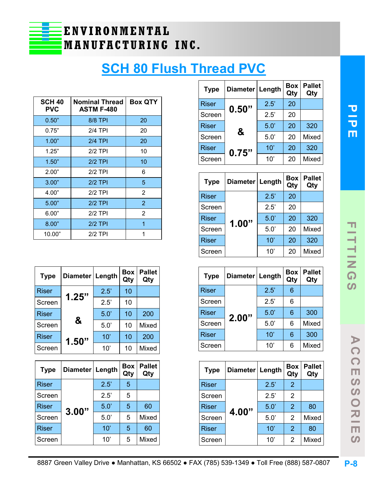

## **SCH 80 Flush Thread PVC**

| <b>SCH 40</b><br><b>PVC</b> | <b>Nominal Thread</b><br><b>ASTM F-480</b> | <b>Box QTY</b> |
|-----------------------------|--------------------------------------------|----------------|
| 0.50"                       | 8/8 TPI                                    | 20             |
| 0.75"                       | 2/4 TPI                                    | 20             |
| 1.00"                       | $2/4$ TPI                                  | 20             |
| 1.25"                       | $2/2$ TPI                                  | 10             |
| 1.50"                       | $2/2$ TPI                                  | 10             |
| 2.00"                       | $2/2$ TPI                                  | 6              |
| 3.00"                       | $2/2$ TPI                                  | 5              |
| 4.00"                       | $2/2$ TPI                                  | 2              |
| 5.00"                       | $2/2$ TPI                                  | $\overline{2}$ |
| 6.00"                       | $2/2$ TPI                                  | 2              |
| 8.00"                       | $2/2$ TPI                                  | 1              |
| 10.00"                      | $2/2$ TPI                                  |                |

| <b>Type</b>  | Diameter   Length |      | <b>Box</b><br>Qty | <b>Pallet</b><br>Qty |
|--------------|-------------------|------|-------------------|----------------------|
| <b>Riser</b> | 1.25"             | 2.5' | 10                |                      |
| Screen       |                   | 2.5' | 10                |                      |
| <b>Riser</b> |                   | 5.0' | 10                | 200                  |
| Screen       | &                 | 5.0' | 10                | Mixed                |
| <b>Riser</b> | 1.50"             | 10'  | 10                | 200                  |
| Screen       |                   | 10'  | 10                | Mixed                |

| <b>Type</b>  | Diameter   Length |      | Box<br>Qty | <b>Pallet</b><br>Qty |
|--------------|-------------------|------|------------|----------------------|
| <b>Riser</b> |                   | 2.5' | 5          |                      |
| Screen       |                   | 2.5' | 5          |                      |
| <b>Riser</b> | 3.00"             | 5.0  | 5          | 60                   |
| Screen       |                   | 5.0' | 5          | Mixed                |
| <b>Riser</b> |                   | 10'  | 5          | 60                   |
| Screen       |                   | 10'  | 5          | Mixed                |

| <b>Type</b>  | Diameter   Length |      | <b>Box</b><br>Qty | <b>Pallet</b><br>Qty |
|--------------|-------------------|------|-------------------|----------------------|
| <b>Riser</b> | 0.50"             | 2.5' | 20                |                      |
| Screen       |                   | 2.5' | 20                |                      |
| Riser        |                   | 5.0  | 20                | 320                  |
| Screen       | &                 | 5.0' | 20                | Mixed                |
| <b>Riser</b> | 0.75"             | 10'  | 20                | 320                  |
| Screen       |                   | 10'  | 20                | <b>Mixed</b>         |

| <b>Type</b>  | Diameter | Length | Box<br>Qty | <b>Pallet</b><br>Qty |
|--------------|----------|--------|------------|----------------------|
| <b>Riser</b> |          | 2.5'   | 20         |                      |
| Screen       |          | 2.5'   | 20         |                      |
| <b>Riser</b> | 1.00"    | 5.0    | 20         | 320                  |
| Screen       |          | 5.0    | 20         | <b>Mixed</b>         |
| <b>Riser</b> |          | 10'    | 20         | 320                  |
| Screen       |          | 10'    | 20         | <b>Mixed</b>         |

| <b>Type</b>  | Diameter Length |      | <b>Box</b><br>Qty | <b>Pallet</b><br>Qty |
|--------------|-----------------|------|-------------------|----------------------|
| Riser        |                 | 2.5' | 6                 |                      |
| Screen       |                 | 2.5' | 6                 |                      |
| <b>Riser</b> | 2.00"           | 5.0  | 6                 | 300                  |
| Screen       |                 | 5.0' | 6                 | <b>Mixed</b>         |
| <b>Riser</b> |                 | 10'  | 6                 | 300                  |
| Screen       |                 | 10'  | 6                 | Mixed                |

| <b>Type</b>  | Diameter Length |      | <b>Box</b><br>Qty | <b>Pallet</b><br>Qty |
|--------------|-----------------|------|-------------------|----------------------|
| <b>Riser</b> |                 | 2.5' | $\overline{2}$    |                      |
| Screen       |                 | 2.5' | 2                 |                      |
| <b>Riser</b> | 4.00"           | 5.0' | 2                 | 80                   |
| Screen       |                 | 5.0' | $\overline{2}$    | Mixed                |
| <b>Riser</b> |                 | 10'  | $\overline{2}$    | 80                   |
| Screen       |                 | 10'  | 2                 | Mixed                |

**A C C E S S O R I E S**

 $\blacktriangleright$  $\Omega$ 

 $\frac{1}{2}$ 

 $\Omega$  $\overline{S}$  $\overline{O}$ 

**RIE** 

 $\Omega$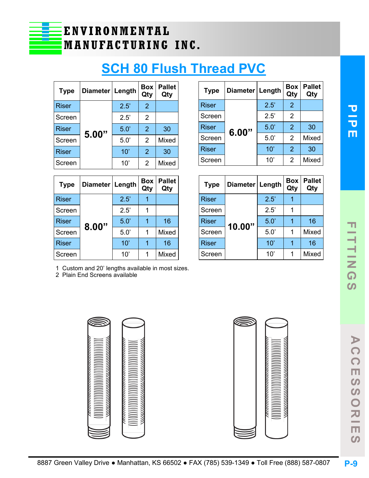**A C C E S S O R I E S**

 $\blacktriangleright$ 

 $\Omega$ 

 $\Omega$ 

 $\Omega$  $\Omega$ 

 $\overline{\mathsf{C}}$ 

刀 - $\Box$  $\Omega$ 



## **SCH 80 Flush Thread PVC**

| <b>Type</b>  | Diameter Length |      | Box<br>Qty     | <b>Pallet</b><br>Qty |
|--------------|-----------------|------|----------------|----------------------|
| Riser        |                 | 2.5' | 2              |                      |
| Screen       |                 | 2.5' | 2              |                      |
| <b>Riser</b> | 5.00"           | 5.0  | $\overline{2}$ | 30                   |
| Screen       |                 | 5.0' | $\overline{2}$ | <b>Mixed</b>         |
| <b>Riser</b> |                 | 10'  | 2              | 30                   |
| Screen       |                 | 10'  | 2              | Mixed                |

| <b>Type</b>  | Diameter   Length |      | <b>Box</b><br>Qty | <b>Pallet</b><br>Qty |
|--------------|-------------------|------|-------------------|----------------------|
| <b>Riser</b> | 8.00"             | 2.5' |                   |                      |
| Screen       |                   | 2.5' |                   |                      |
| <b>Riser</b> |                   | 5.0  |                   | 16                   |
| Screen       |                   | 5.0' |                   | Mixed                |
| <b>Riser</b> |                   | 10'  | 1                 | 16                   |
| Screen       |                   | 10'  |                   | Mixed                |

| <b>Type</b>  | Diameter   Length |      | <b>Box</b><br>Qty | <b>Pallet</b><br>Qty |
|--------------|-------------------|------|-------------------|----------------------|
| <b>Riser</b> |                   | 2.5' | 2                 |                      |
| Screen       |                   | 2.5' | 2                 |                      |
| <b>Riser</b> | 6.00"             | 5.0' | $\mathcal{P}$     | 30                   |
| Screen       |                   | 5.0' | $\overline{2}$    | Mixed                |
| Riser        |                   | 10'  | $\mathcal{P}$     | 30                   |
| Screen       |                   | 10'  | 2                 | <b>Mixed</b>         |

| <b>Type</b>  | Diameter   Length |      | <b>Box</b><br>Qty | <b>Pallet</b><br>Qty |
|--------------|-------------------|------|-------------------|----------------------|
| <b>Riser</b> |                   | 2.5' |                   |                      |
| Screen       |                   | 2.5' | 1                 |                      |
| <b>Riser</b> | 10.00"            | 5.0' | 1                 | 16                   |
| Screen       |                   | 5.0' | 1                 | <b>Mixed</b>         |
| <b>Riser</b> |                   | 10'  | 1                 | 16                   |
| Screen       |                   | 10'  | 1                 | <b>Mixed</b>         |

1 Custom and 20' lengths available in most sizes.

2 Plain End Screens available